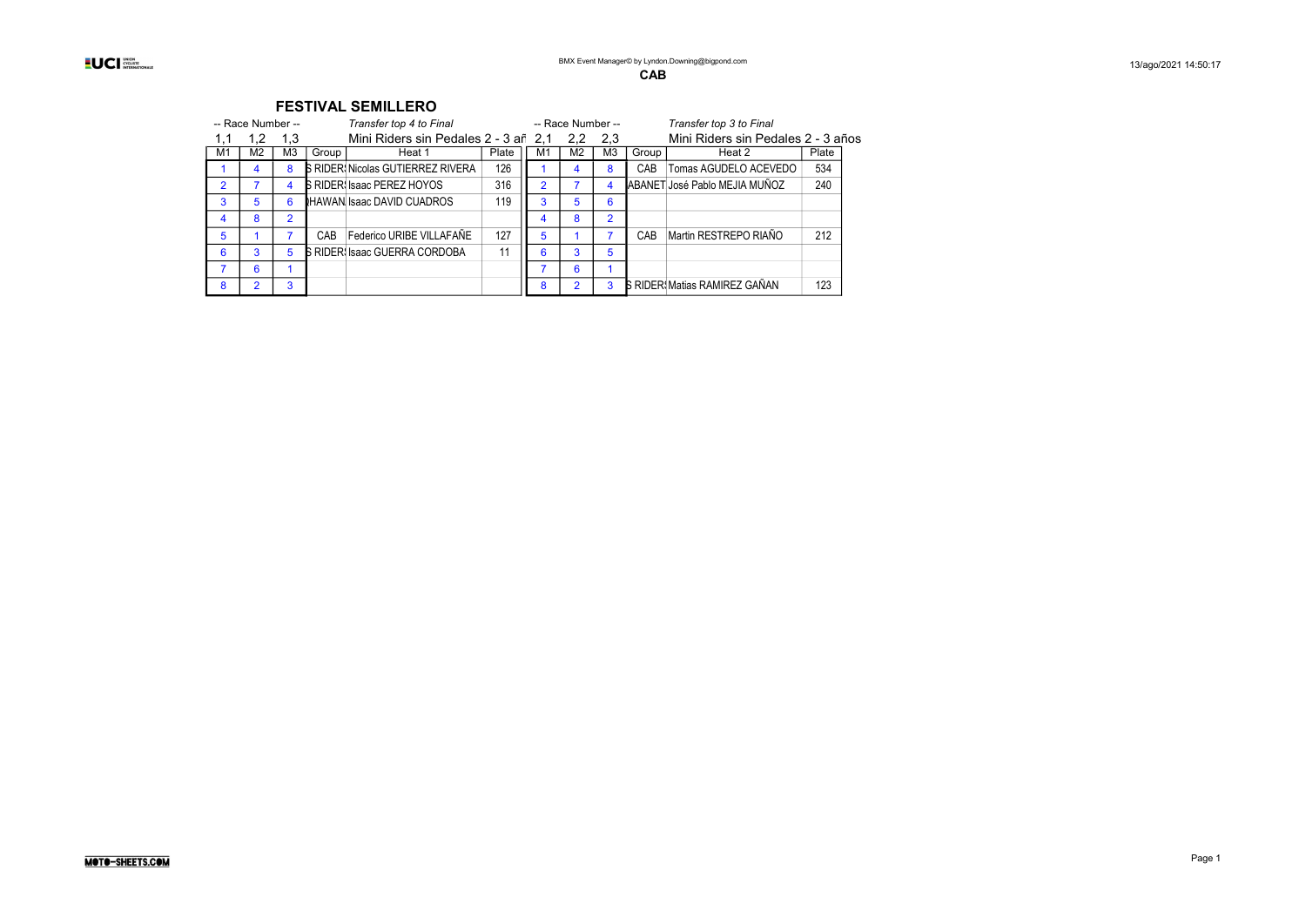|                |                |                |                   | Transfer top 4 to Final  |                                                                                                                                                                                   |                |     |                                      |                   | Transfer top 3 to Final |                                                                       |                                    |
|----------------|----------------|----------------|-------------------|--------------------------|-----------------------------------------------------------------------------------------------------------------------------------------------------------------------------------|----------------|-----|--------------------------------------|-------------------|-------------------------|-----------------------------------------------------------------------|------------------------------------|
|                | 1,2            | 1,3            |                   |                          |                                                                                                                                                                                   |                | 2.2 | 2,3                                  |                   |                         |                                                                       |                                    |
| M1             | M <sub>2</sub> | M3             | Group             | Heat 1                   | Plate                                                                                                                                                                             | M1             | M2  | M <sub>3</sub>                       | Group             | Heat 2                  | Plate                                                                 |                                    |
|                | 4              | 8              |                   |                          | 126                                                                                                                                                                               |                | 4   | 8                                    | CAB               | Tomas AGUDELO ACEVEDO   | 534                                                                   |                                    |
| $\overline{2}$ |                |                |                   |                          | 316                                                                                                                                                                               | $\overline{2}$ |     | 4                                    |                   |                         | 240                                                                   |                                    |
| 3              | 5              | 6              |                   |                          | 119                                                                                                                                                                               | 3              | 5   | 6                                    |                   |                         |                                                                       |                                    |
| 4              | 8              | $\overline{2}$ |                   |                          |                                                                                                                                                                                   |                | 8   | $\overline{2}$                       |                   |                         |                                                                       |                                    |
| 5              |                |                | CAB               | Federico URIBE VILLAFAÑE | 127                                                                                                                                                                               | 5              |     |                                      | CAB               | Martin RESTREPO RIAÑO   | 212                                                                   |                                    |
| 6              | 3              | 5              |                   |                          | 11                                                                                                                                                                                | 6              | 3   | 5                                    |                   |                         |                                                                       |                                    |
|                | 6              |                |                   |                          |                                                                                                                                                                                   |                | 6   |                                      |                   |                         |                                                                       |                                    |
| 8              |                | 3              |                   |                          |                                                                                                                                                                                   | 8              | 2   | 3                                    |                   |                         | 123                                                                   |                                    |
|                |                |                | -- Race Number -- |                          | FLJIIVAL JLIVIILLENU<br><b>B RIDER: Nicolas GUTIERREZ RIVERA</b><br><b>S RIDER Isaac PEREZ HOYOS</b><br><b>IHAWAN Isaac DAVID CUADROS</b><br><b>B RIDER: Isaac GUERRA CORDOBA</b> |                |     | Mini Riders sin Pedales 2 - 3 añ 2,1 | -- Race Number -- |                         | ABANET José Pablo MEJIA MUÑOZ<br><b>S RIDER: Matias RAMIREZ GAÑAN</b> | Mini Riders sin Pedales 2 - 3 años |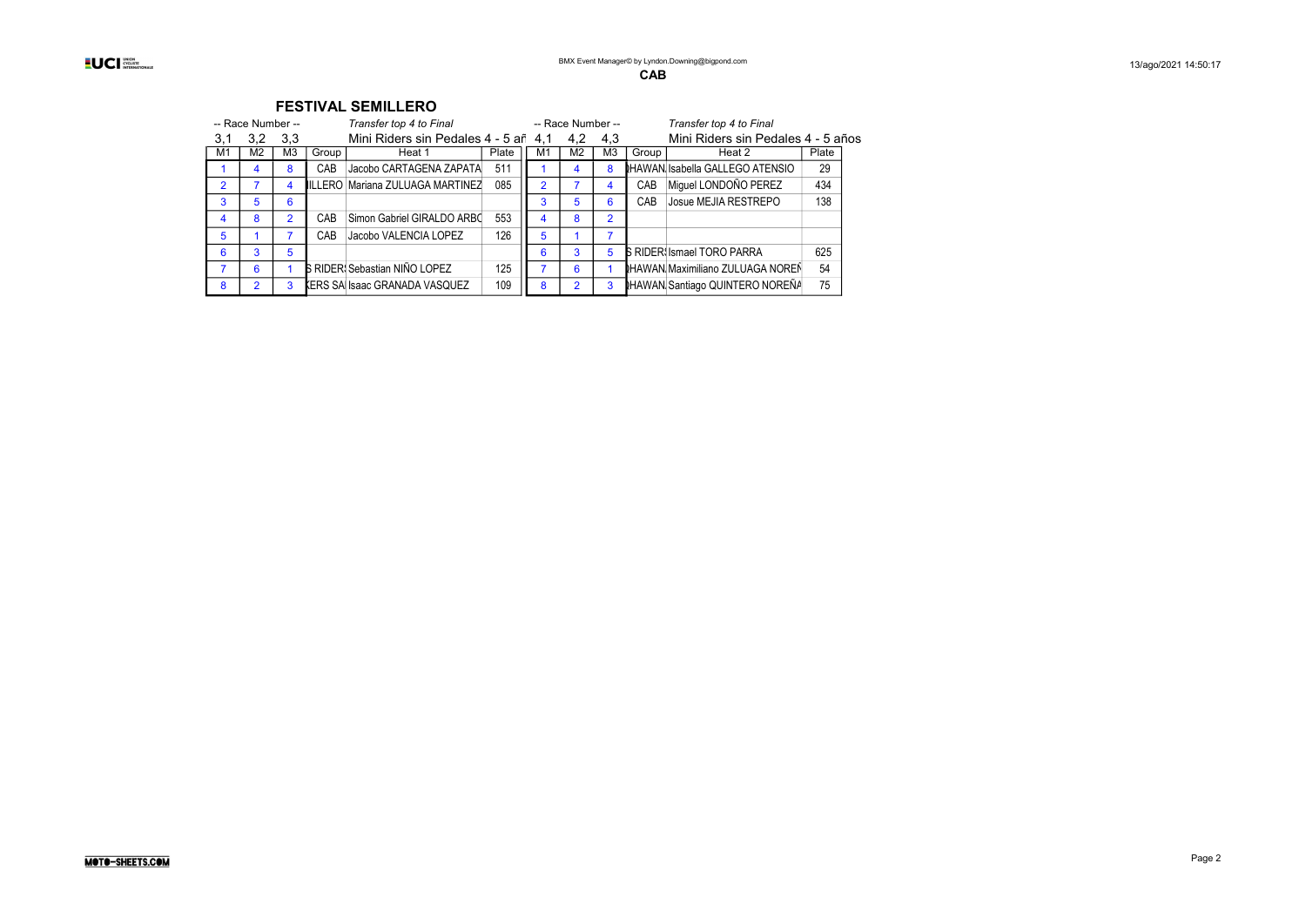|     |                   |                |       | . CV.III.C VCIIILLIIV                |       |                |                   |                |       |                                         |       |
|-----|-------------------|----------------|-------|--------------------------------------|-------|----------------|-------------------|----------------|-------|-----------------------------------------|-------|
|     | -- Race Number -- |                |       | Transfer top 4 to Final              |       |                | -- Race Number -- |                |       | Transfer top 4 to Final                 |       |
| 3,1 | 3,2               | 3,3            |       | Mini Riders sin Pedales 4 - 5 añ 4.1 |       |                | 4.2               | 4,3            |       | Mini Riders sin Pedales 4 - 5 años      |       |
| M1  | M2                | M <sub>3</sub> | Group | Heat 1                               | Plate | M <sub>1</sub> | M <sub>2</sub>    | M <sub>3</sub> | Group | Heat 2                                  | Plate |
|     | 4                 | 8              | CAB   | Jacobo CARTAGENA ZAPATA              | 511   |                | 4                 | 8              |       | <b>IHAWAN Isabella GALLEGO ATENSIO</b>  | 29    |
| 2   |                   |                |       | ILLERO Mariana ZULUAGA MARTINEZ      | 085   | $\overline{2}$ |                   | 4              | CAB   | Miquel LONDOÑO PEREZ                    | 434   |
| 3   | 5                 | 6              |       |                                      |       | 3              | 5                 | 6              | CAB   | Josue MEJIA RESTREPO                    | 138   |
| 4   | 8                 | $\mathcal{P}$  | CAB   | Simon Gabriel GIRALDO ARBC           | 553   | 4              | 8                 | $\overline{2}$ |       |                                         |       |
| 5   |                   |                | CAB   | Jacobo VALENCIA LOPEZ                | 126   | 5              |                   |                |       |                                         |       |
| 6   | 3                 | 5              |       |                                      |       | 6              | 3                 | 5              |       | <b>B RIDER Ismael TORO PARRA</b>        | 625   |
|     | 6                 |                |       | <b>S RIDER: Sebastian NIÑO LOPEZ</b> | 125   |                | 6                 |                |       | <b>IHAWAN Maximiliano ZULUAGA NOREÑ</b> | 54    |
| 8   | 2                 | 3              |       | KERS SA Isaac GRANADA VASQUEZ        | 109   | 8              | $\overline{2}$    | 3              |       | <b>NHAWAN Santiago QUINTERO NOREÑA</b>  | 75    |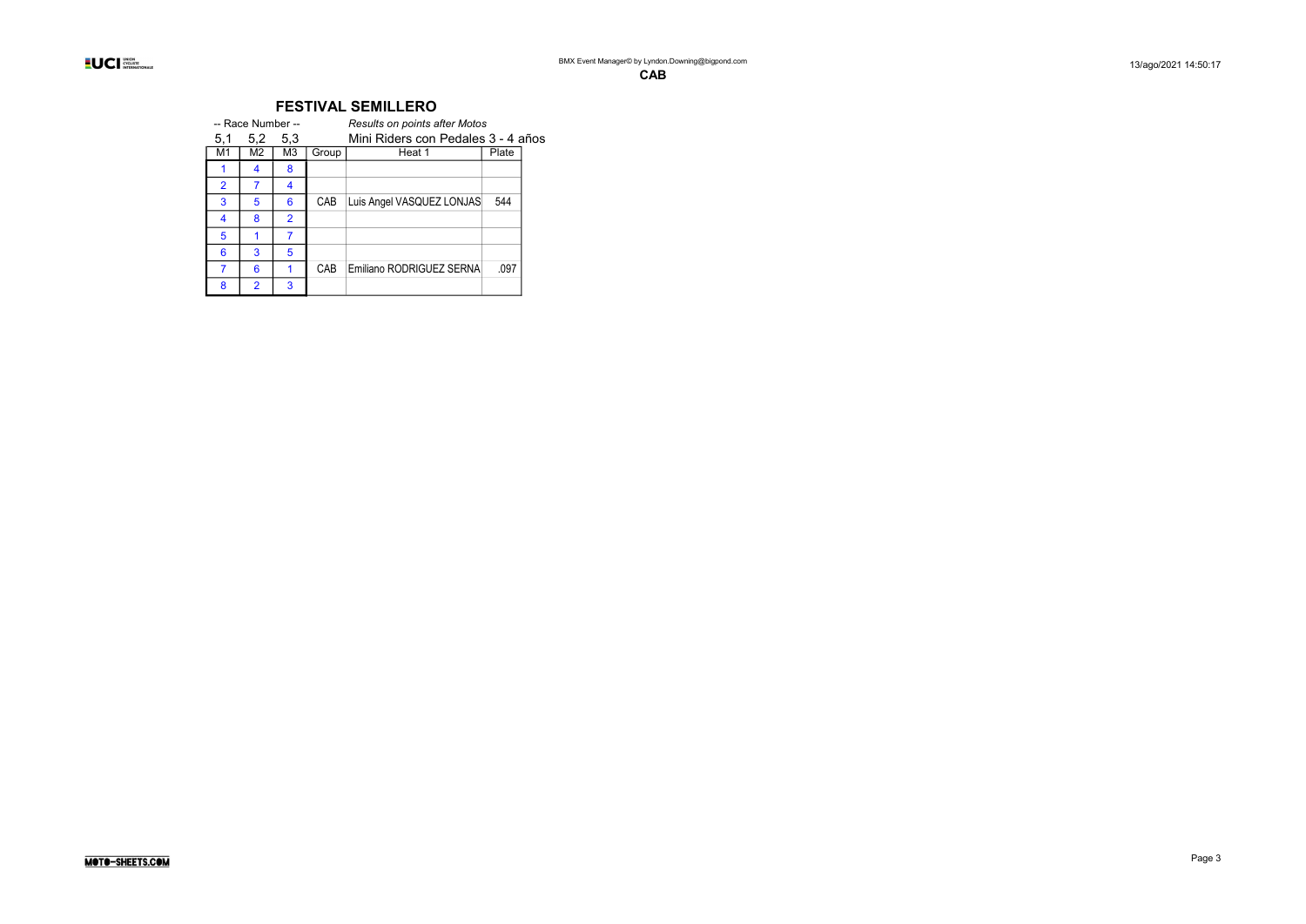|                | -- Race Number -- |                |       | <b>Results on points after Motos</b> |       |  |
|----------------|-------------------|----------------|-------|--------------------------------------|-------|--|
| 5,1            | 5,2               | 5,3            |       | Mini Riders con Pedales 3 - 4 años   |       |  |
| M1             | M2                | MЗ             | Group | Heat 1                               | Plate |  |
|                | 4                 | 8              |       |                                      |       |  |
| $\overline{2}$ |                   | 4              |       |                                      |       |  |
| 3              | 5                 | 6              | CAB   | Luis Angel VASQUEZ LONJAS            | 544   |  |
| 4              | 8                 | $\overline{2}$ |       |                                      |       |  |
| 5              |                   |                |       |                                      |       |  |
| 6              | 3                 | 5              |       |                                      |       |  |
|                | 6                 |                | CAB   | Emiliano RODRIGUEZ SERNA             | .097  |  |
| 8              | $\overline{2}$    | 3              |       |                                      |       |  |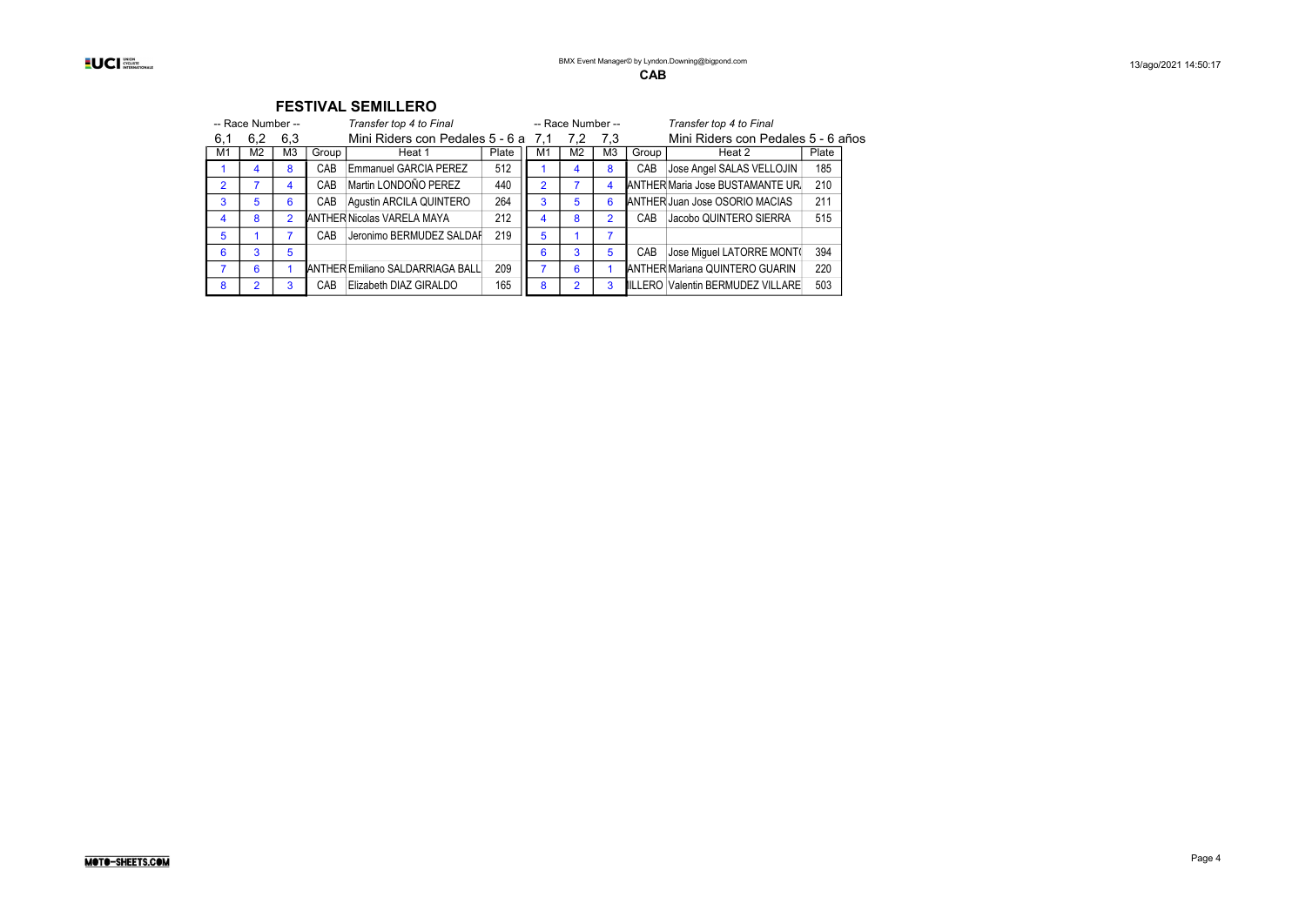|                | -- Race Number -- |                |       | Transfer top 4 to Final              |       |                | -- Race Number -- |                |       | Transfer top 4 to Final               |       |  |
|----------------|-------------------|----------------|-------|--------------------------------------|-------|----------------|-------------------|----------------|-------|---------------------------------------|-------|--|
| 6,1            | 6,2               | 6,3            |       | Mini Riders con Pedales 5 - 6 at 7.1 |       |                | 7.2               | 7,3            |       | Mini Riders con Pedales 5 - 6 años    |       |  |
| M <sub>1</sub> | M <sub>2</sub>    | M <sub>3</sub> | Group | Heat 1                               | Plate | M1             | M <sub>2</sub>    | M <sub>3</sub> | Group | Heat 2                                | Plate |  |
|                | 4                 | 8              | CAB   | <b>Emmanuel GARCIA PEREZ</b>         | 512   |                | 4                 | 8              | CAB   | Jose Angel SALAS VELLOJIN             | 185   |  |
| $\mathfrak{p}$ |                   | 4              | CAB   | Martin LONDOÑO PEREZ                 | 440   | $\overline{2}$ |                   | 4              |       | ANTHER Maria Jose BUSTAMANTE UR       | 210   |  |
| 3              | 5                 | 6              | CAB   | Agustin ARCILA QUINTERO              | 264   | 3              | 5                 | 6              |       | <b>ANTHER Juan Jose OSORIO MACIAS</b> | 211   |  |
| 4              | 8                 | $\mathfrak{p}$ |       | <b>ANTHER Nicolas VARELA MAYA</b>    | 212   | 4              | 8                 |                | CAB   | Jacobo QUINTERO SIERRA                | 515   |  |
| 5              |                   |                | CAB   | Jeronimo BERMUDEZ SALDAF             | 219   | 5              |                   | 7              |       |                                       |       |  |
| 6              | 3                 | 5              |       |                                      |       | 6              | 3                 | 5              | CAB   | Jose Miquel LATORRE MONT(             | 394   |  |
| 7              | 6                 |                |       | ANTHER Emiliano SALDARRIAGA BALL     | 209   |                | 6                 |                |       | ANTHER Mariana QUINTERO GUARIN        | 220   |  |
| 8              | 2                 | 3              | CAB   | Elizabeth DIAZ GIRALDO               | 165   | 8              | 2                 |                |       | ILLERO Valentin BERMUDEZ VILLARE      | 503   |  |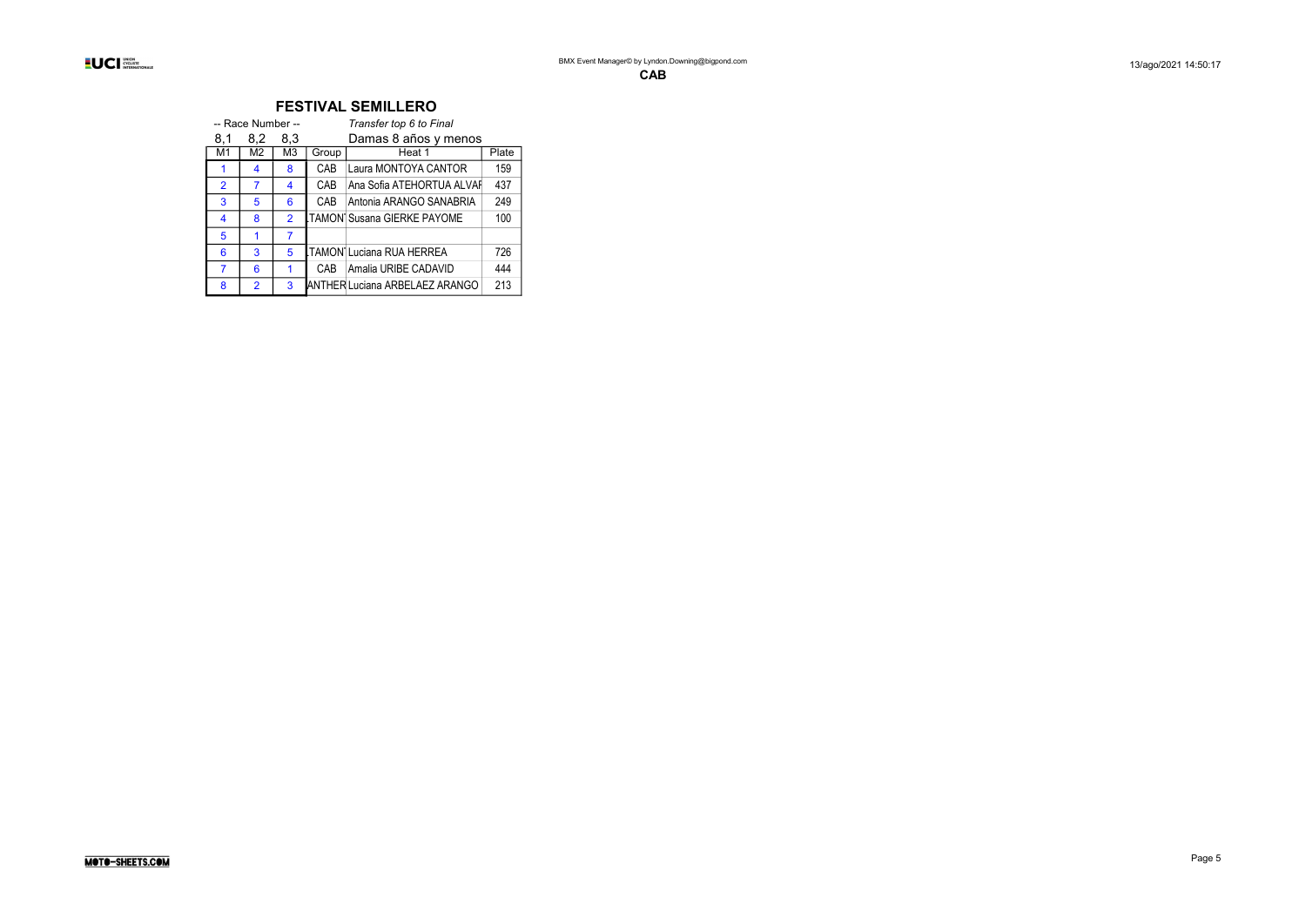|                | -- Race Number -- |                |       | Transfer top 6 to Final               |       |
|----------------|-------------------|----------------|-------|---------------------------------------|-------|
| 8.1            | 8,2               | 8,3            |       | Damas 8 años y menos                  |       |
| M1             | M2                | M <sub>3</sub> | Group | Heat 1                                | Plate |
| 1              | 4                 | 8              | CAB   | Laura MONTOYA CANTOR                  | 159   |
| $\overline{2}$ | 7                 | 4              | CAB   | Ana Sofia ATEHORTUA ALVAF             | 437   |
| 3              | 5                 | 6              | CAB   | Antonia ARANGO SANABRIA               | 249   |
| 4              | 8                 | $\overline{2}$ |       | <b>ITAMON Susana GIERKE PAYOME</b>    | 100   |
| 5              | 1                 | 7              |       |                                       |       |
| 6              | 3                 | 5              |       | <b>ITAMON Luciana RUA HERREA</b>      | 726   |
| 7              | 6                 | 1              | CAB.  | Amalia URIBE CADAVID                  | 444   |
| 8              | $\mathfrak{p}$    | 3              |       | <b>ANTHER Luciana ARBELAEZ ARANGO</b> | 213   |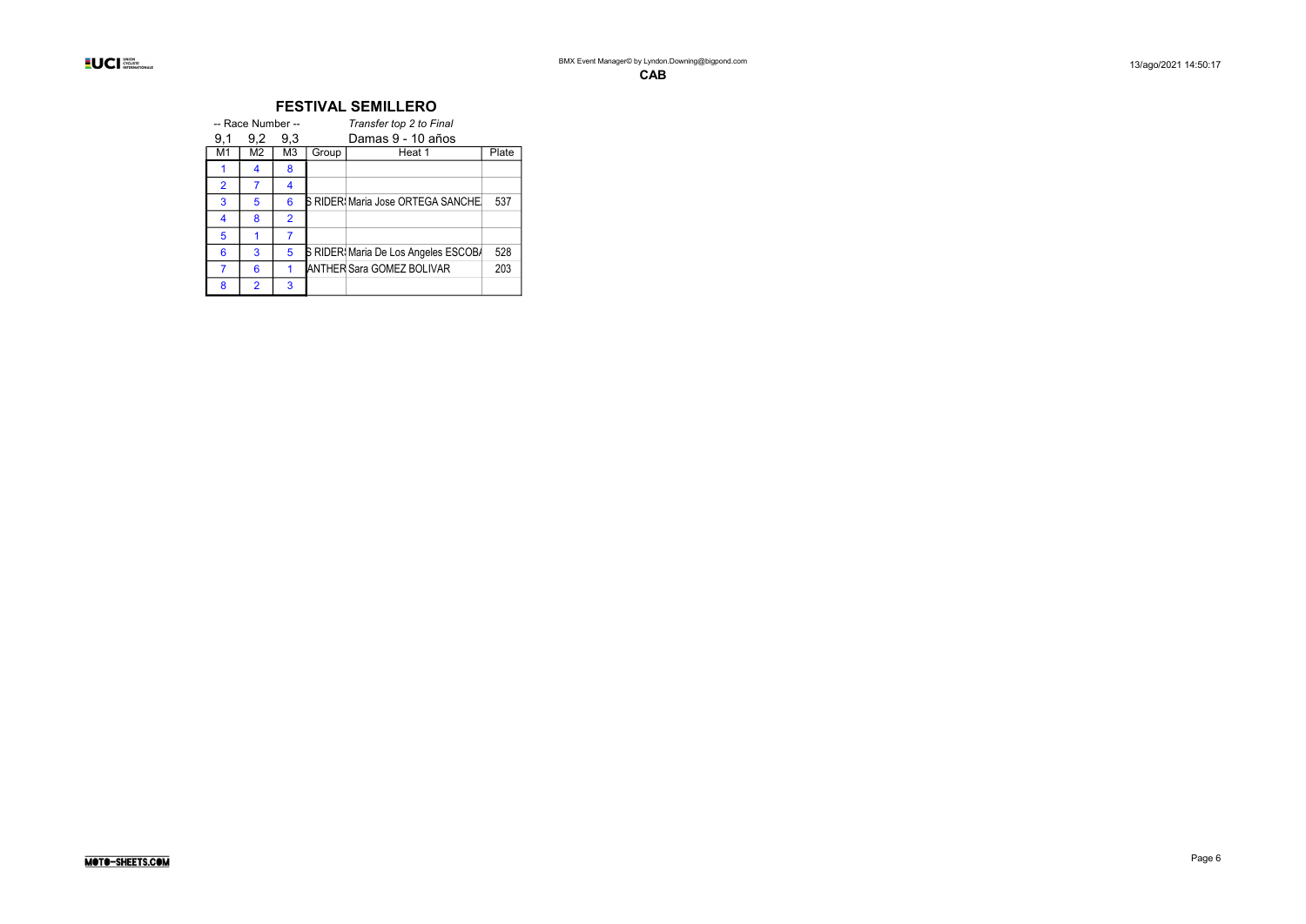|                | -- Race Number -- |                |       | Transfer top 2 to Final              |       |
|----------------|-------------------|----------------|-------|--------------------------------------|-------|
| 9.1            | 9,2               | 9.3            |       | Damas 9 - 10 años                    |       |
| M1             | M2                | M3             | Group | Heat 1                               | Plate |
|                | 4                 | 8              |       |                                      |       |
| $\overline{2}$ | 7                 | 4              |       |                                      |       |
| 3              | 5                 | 6              |       | S RIDER Maria Jose ORTEGA SANCHE     | 537   |
| 4              | 8                 | $\overline{2}$ |       |                                      |       |
| 5              |                   |                |       |                                      |       |
| 6              | 3                 | 5              |       | S RIDER: Maria De Los Angeles ESCOB/ | 528   |
| 7              | 6                 |                |       | <b>ANTHER Sara GOMEZ BOLIVAR</b>     | 203   |
| 8              | $\mathfrak{p}$    | 3              |       |                                      |       |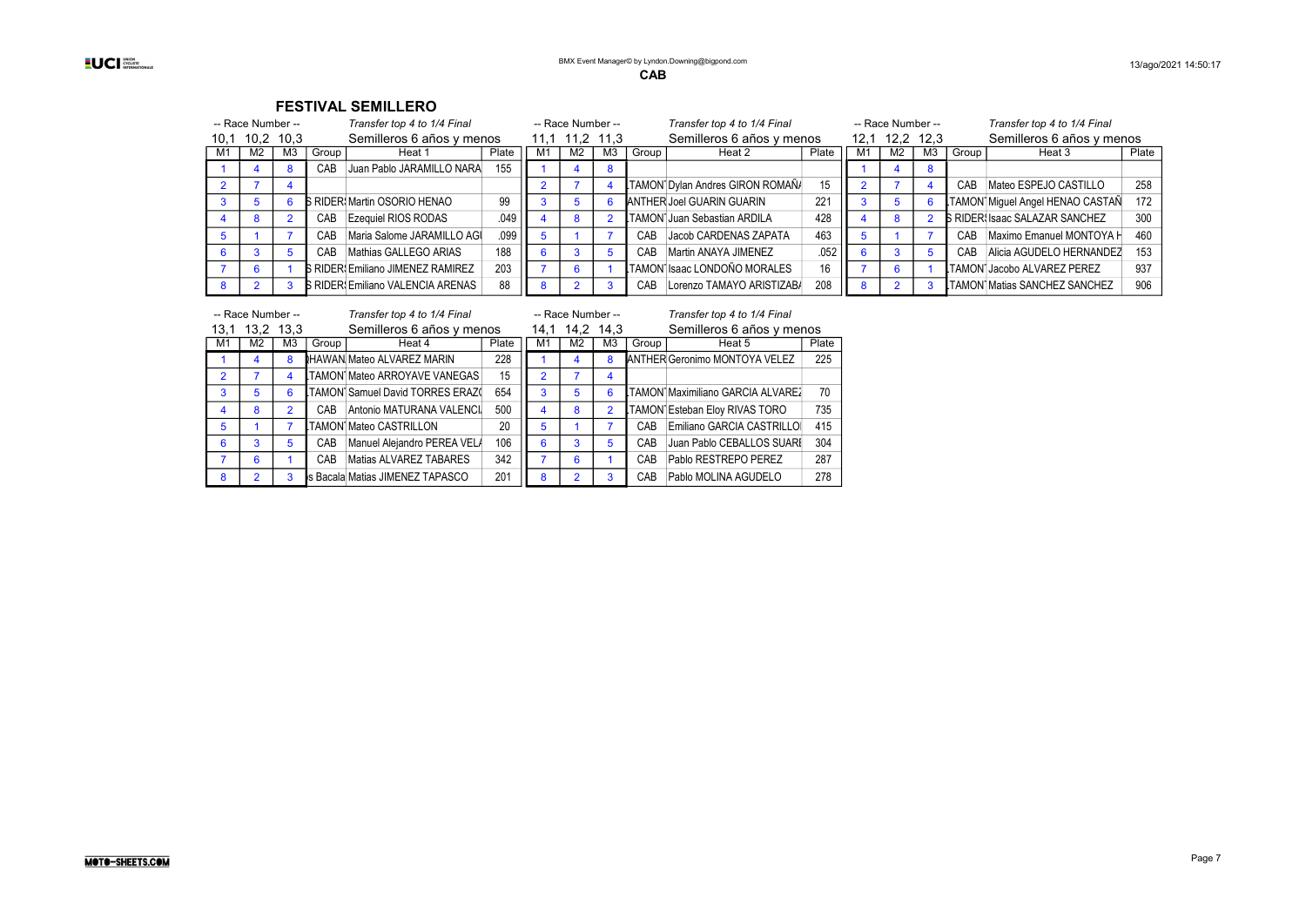| -- Race Number -- |                |       | Transfer top 4 to 1/4 Final              |       |      | -- Race Number -- |                |         | Transfer top 4 to 1/4 Final      |       |      |                | -- Race Number -- |       | Transfer top 4 to 1/4 Final          |       |
|-------------------|----------------|-------|------------------------------------------|-------|------|-------------------|----------------|---------|----------------------------------|-------|------|----------------|-------------------|-------|--------------------------------------|-------|
| 10,1 10,2 10,3    |                |       | Semilleros 6 años y menos                |       | 11.1 | 11.2              | 11,3           |         | Semilleros 6 años y menos        |       | 12.1 |                | 12,2 12,3         |       | Semilleros 6 años y menos            |       |
| M2                | M <sub>3</sub> | Group | Heat 1                                   | Plate | M1   | M <sub>2</sub>    | M <sub>3</sub> | Group I | Heat 2                           | Plate | M1   | M <sub>2</sub> | M <sub>3</sub>    | Group | Heat 3                               | Plate |
|                   |                | CAB   | Juan Pablo JARAMILLO NARA                | 155   |      |                   |                |         |                                  |       |      |                |                   |       |                                      |       |
|                   |                |       |                                          |       |      |                   |                |         | TAMON Dylan Andres GIRON ROMAÑA  | 15    |      |                |                   | CAB   | Mateo ESPEJO CASTILLO                | 258   |
|                   |                |       | <b>S RIDER Martin OSORIO HENAO</b>       | 99    |      |                   | b              |         | <b>ANTHER Joel GUARIN GUARIN</b> | 221   |      | 5              |                   |       | TAMON Miguel Angel HENAO CASTAÑ      | 172   |
|                   |                | CAB   | Ezequiel RIOS RODAS                      | .049  |      |                   |                |         | LTAMON Juan Sebastian ARDILA     | 428   |      | 8              |                   |       | <b>B RIDER Isaac SALAZAR SANCHEZ</b> | 300   |
|                   |                | CAB   | Maria Salome JARAMILLO AGI               | .099  |      |                   |                | CAB     | Jacob CARDENAS ZAPATA            | 463   |      |                |                   | CAB   | Maximo Emanuel MONTOYA H             | 460   |
|                   |                | CAB   | Mathias GALLEGO ARIAS                    | 188   |      |                   |                | CAB     | Martin ANAYA JIMENEZ             | .052  |      |                |                   | CAB   | Alicia AGUDELO HERNANDEZ             | 153   |
|                   |                |       | <b>S RIDER: Emiliano JIMENEZ RAMIREZ</b> | 203   |      |                   |                |         | LTAMON Isaac LONDOÑO MORALES     | 16    |      | 6              |                   |       | TAMON Jacobo ALVAREZ PEREZ           | 937   |
|                   |                |       | <b>5 RIDER: Emiliano VALENCIA ARENAS</b> | 88    |      |                   |                | CAB     | Lorenzo TAMAYO ARISTIZABA        | 208   |      |                |                   |       | <b>TAMON Matias SANCHEZ SANCHEZ</b>  | 906   |

|                | -- Race Number -- |                |       | Transfer top 4 to 1/4 Final      |       |                | -- Race Number -- |                |       | Transfer top 4 to 1/4 Final          |       |
|----------------|-------------------|----------------|-------|----------------------------------|-------|----------------|-------------------|----------------|-------|--------------------------------------|-------|
| 13.1           | 13,2 13,3         |                |       | Semilleros 6 años y menos        |       | 14.1           |                   | 14,2 14,3      |       | Semilleros 6 años y menos            |       |
| M1             | M <sub>2</sub>    | M <sub>3</sub> | Group | Heat 4                           | Plate | M <sub>1</sub> | M <sub>2</sub>    | M <sub>3</sub> | Group | Heat 5                               | Plate |
|                | 4                 | 8              |       | <b>HAWAN Mateo ALVAREZ MARIN</b> | 228   |                | 4                 | 8              |       | <b>ANTHER Geronimo MONTOYA VELEZ</b> | 225   |
| $\overline{2}$ |                   | 4              |       | TAMON Mateo ARROYAVE VANEGAS     | 15    | $\overline{2}$ |                   | 4              |       |                                      |       |
| 3              | 5                 | 6              |       | TAMON Samuel David TORRES ERAZ(  | 654   | 3              | 5                 | 6              |       | TAMON Maximiliano GARCIA ALVARE2     | 70    |
| 4              | 8                 | $\overline{2}$ | CAB   | Antonio MATURANA VALENCI         | 500   | 4              | 8                 | $\mathcal{P}$  |       | TAMON Esteban Eloy RIVAS TORO        | 735   |
| 5              |                   |                |       | TAMON Mateo CASTRILLON           | 20    | 5              |                   |                | CAR   | Emiliano GARCIA CASTRILLOI           | 415   |
| 6              | 3                 | 5              | CAB   | Manuel Alejandro PEREA VEL/      | 106   | 6              | 3                 | 5              | CAB   | Juan Pablo CEBALLOS SUARI            | 304   |
|                | 6                 |                | CAB   | Matias ALVAREZ TABARES           | 342   | ⇁              | 6                 |                | CAB   | Pablo RESTREPO PEREZ                 | 287   |
| 8              | 2                 | 3              |       | s Bacala Matias JIMENEZ TAPASCO  | 201   | 8              | 2                 | 3              | CAB   | Pablo MOLINA AGUDELO                 | 278   |

#### MOTO-SHEETS.COM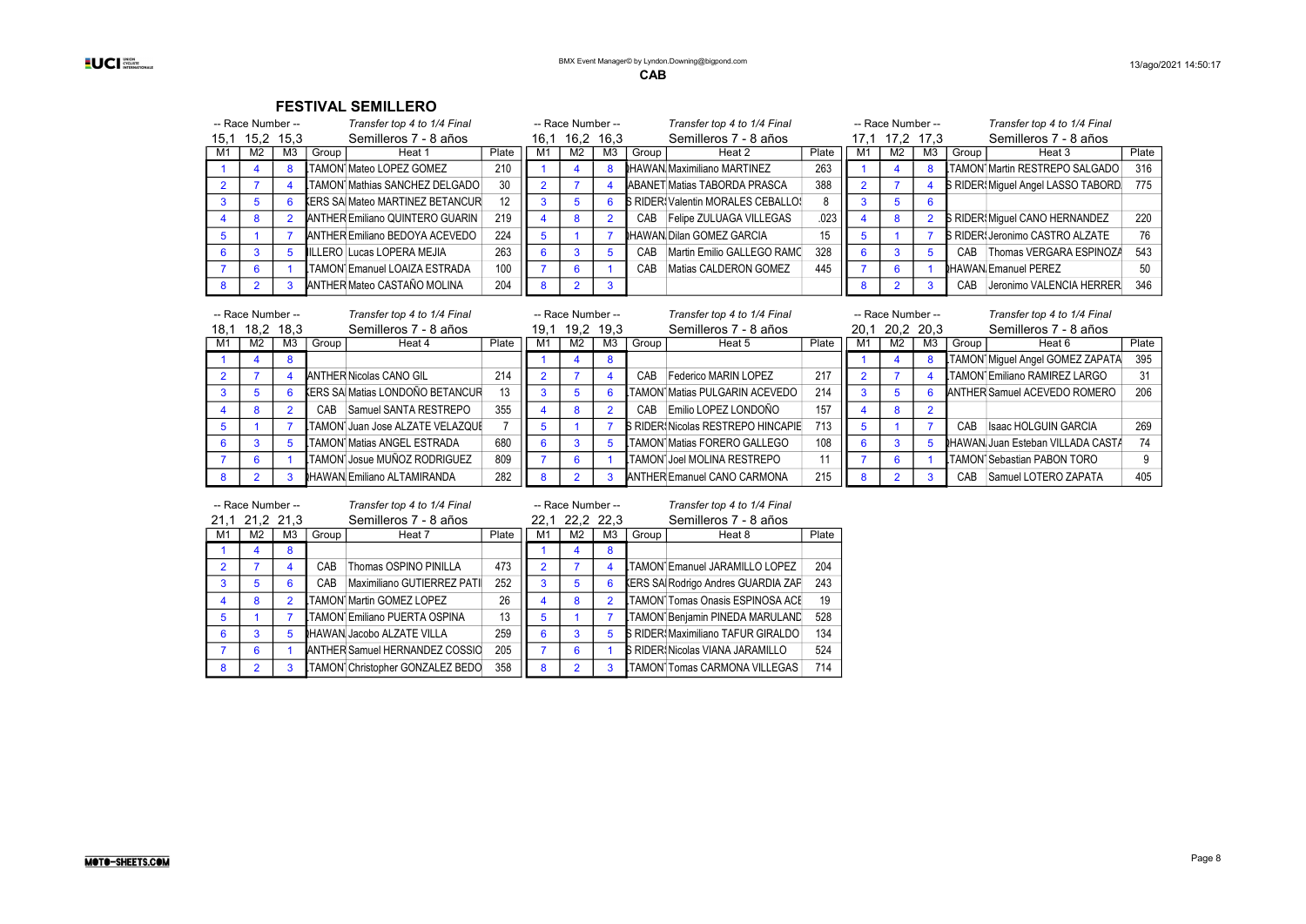| -- Race Number -- |    |       | Transfer top 4 to 1/4 Final            |       |      | -- Race Number -- |                |       | Transfer top 4 to 1/4 Final               |       |    | -- Race Number -- |                |       | Transfer top 4 to 1/4 Final            |       |
|-------------------|----|-------|----------------------------------------|-------|------|-------------------|----------------|-------|-------------------------------------------|-------|----|-------------------|----------------|-------|----------------------------------------|-------|
| 15,1 15,2 15,3    |    |       | Semilleros 7 - 8 años                  |       | 16.1 | 16,2 16,3         |                |       | Semilleros 7 - 8 años                     |       |    | 17,1 17,2 17,3    |                |       | Semilleros 7 - 8 años                  |       |
| M <sub>2</sub>    | MЗ | Group | Heat 1                                 | Plate | M    | M2                | M <sub>3</sub> | Group | Heat 2                                    | Plate | M. | M <sub>2</sub>    | M <sub>3</sub> | Group | Heat 3                                 | Plate |
|                   |    |       | TAMON Mateo LOPEZ GOMEZ                | 210   |      |                   |                |       | <b>IHAWAN Maximiliano MARTINEZ</b>        | 263   |    |                   |                |       | <b>LTAMON Martin RESTREPO SALGADO</b>  | 316   |
|                   |    |       | TAMON Mathias SANCHEZ DELGADO          | 30    |      |                   |                |       | ABANET Matias TABORDA PRASCA              | 388   |    |                   |                |       | S RIDER, Miguel Angel LASSO TABORD.    | 775   |
|                   |    |       | <b>KERS SA Mateo MARTINEZ BETANCUR</b> | 12    |      |                   |                |       | <b>B RIDER: Valentin MORALES CEBALLOS</b> |       |    |                   |                |       |                                        |       |
| 8                 |    |       | ANTHER Emiliano QUINTERO GUARIN        | 219   |      |                   |                | CAB   | Felipe ZULUAGA VILLEGAS                   | .023  |    | 8                 |                |       | S RIDER Miguel CANO HERNANDEZ          | 220   |
|                   |    |       | ANTHER Emiliano BEDOYA ACEVEDO         | 224   |      |                   |                |       | <b>IHAWAN Dilan GOMEZ GARCIA</b>          | 15    |    |                   |                |       | <b>S RIDER: Jeronimo CASTRO ALZATE</b> | 76    |
| 3                 |    |       | IILLERO Lucas LOPERA MEJIA             | 263   |      |                   |                | CAB   | Martin Emilio GALLEGO RAMO                | 328   |    |                   |                | CAB   | Thomas VERGARA ESPINOZA                | 543   |
| 6                 |    |       | TAMON Emanuel LOAIZA ESTRADA           | 100   |      |                   |                | CAB   | Matias CALDERON GOMEZ                     | 445   |    |                   |                |       | <b>NHAWAN Emanuel PEREZ</b>            | 50    |
|                   |    |       | ANTHER Mateo CASTAÑO MOLINA            | 204   |      |                   |                |       |                                           |       |    |                   |                | CAB   | Jeronimo VALENCIA HERRER               | 346   |

|      | -- Race Number -- |           |       | Transfer top 4 to 1/4 Final             |       |    | -- Race Number -- |    |       | Transfer top 4 to 1/4 Final              |                |    | -- Race Number -- |    |       | Transfer top 4 to 1/4 Final              |       |
|------|-------------------|-----------|-------|-----------------------------------------|-------|----|-------------------|----|-------|------------------------------------------|----------------|----|-------------------|----|-------|------------------------------------------|-------|
| 18.1 |                   | 18.2 18.3 |       | Semilleros 7 - 8 años                   |       |    | 19.1 19.2 19.3    |    |       | Semilleros 7 - 8 años                    |                |    | 20,1 20,2 20,3    |    |       | Semilleros 7 - 8 años                    |       |
| M1   | M2                | ΜЗ        | Group | Heat 4                                  | Plate | M1 | M <sub>2</sub>    | M3 | Group | Heat 5                                   | Plate          | M. | M2                | M3 | Group | Heat 6                                   | Plate |
|      |                   |           |       |                                         |       |    |                   |    |       |                                          |                |    |                   |    |       | TAMON Miguel Angel GOMEZ ZAPATA          | 395   |
|      |                   |           |       | <b>ANTHER Nicolas CANO GIL</b>          | 214   |    |                   |    | CAB   | Federico MARIN LOPEZ                     | 217            |    |                   |    |       | <b>ITAMON Emiliano RAMIREZ LARGO</b>     | 31    |
|      |                   |           |       | <b>KERS SA Matias LONDOÑO BETANCUR</b>  | 13    |    |                   |    |       | TAMON Matias PULGARIN ACEVEDO            | 214            |    |                   |    |       | ANTHER Samuel ACEVEDO ROMERO             | 206   |
|      |                   |           | CAB   | Samuel SANTA RESTREPO                   | 355   |    |                   |    | CAB   | Emilio LOPEZ LONDOÑO                     | 157            |    |                   |    |       |                                          |       |
|      |                   |           |       | <b>LTAMON Juan Jose ALZATE VELAZQUI</b> |       |    |                   |    |       | <b>S RIDER Nicolas RESTREPO HINCAPIE</b> | 713            |    |                   |    | CAR   | Isaac HOLGUIN GARCIA                     | 269   |
|      |                   |           |       | LTAMON Matias ANGEL ESTRADA             | 680   |    |                   |    |       | <b>LTAMON Matias FORERO GALLEGO</b>      | 108            |    |                   |    |       | <b>IHAWAN Juan Esteban VILLADA CASTA</b> | 74    |
|      |                   |           |       | LTAMON Josue MUÑOZ RODRIGUEZ            | 809   |    |                   |    |       | <b>LTAMON Joel MOLINA RESTREPO</b>       | $\overline{A}$ |    |                   |    |       | <b>LTAMON Sebastian PABON TORO</b>       |       |
|      |                   |           |       | <b>HAWAN Emiliano ALTAMIRANDA</b>       | 282   |    |                   |    |       | ANTHER Emanuel CANO CARMONA              | 215            |    |                   |    | CAB   | Samuel LOTERO ZAPATA                     | 405   |

|                | -- Race Number -- |                |       | Transfer top 4 to 1/4 Final           |       |                | -- Race Number -- |                |       | Transfer top 4 to 1/4 Final               |       |
|----------------|-------------------|----------------|-------|---------------------------------------|-------|----------------|-------------------|----------------|-------|-------------------------------------------|-------|
|                | 21.1 21.2 21.3    |                |       | Semilleros 7 - 8 años                 |       |                | 22,1 22,2 22,3    |                |       | Semilleros 7 - 8 años                     |       |
| M1             | M <sub>2</sub>    | M3             | Group | Heat 7                                | Plate | M <sub>1</sub> | M <sub>2</sub>    | M <sub>3</sub> | Group | Heat 8                                    | Plate |
|                | 4                 | 8              |       |                                       |       |                | 4                 | 8              |       |                                           |       |
| $\overline{2}$ |                   | 4              | CAB   | Thomas OSPINO PINILLA                 | 473   | $\overline{2}$ |                   | 4              |       | <b>LTAMON Emanuel JARAMILLO LOPEZ</b>     | 204   |
| 3              | 5                 | 6              | CAB   | Maximiliano GUTIERREZ PATI            | 252   | 3              | 5                 | 6              |       | <b>KERS SA Rodrigo Andres GUARDIA ZAP</b> | 243   |
| $\overline{4}$ | 8                 | $\overline{2}$ |       | TAMON Martin GOMEZ LOPEZ              | 26    | 4              | 8                 | $\mathcal{P}$  |       | <b>LTAMON Tomas Onasis ESPINOSA ACE</b>   | 19    |
| 5              |                   |                |       | TAMON Emiliano PUERTA OSPINA          | 13    | 5              |                   |                |       | TAMON Benjamin PINEDA MARULAND            | 528   |
| 6              | 3                 | 5              |       | <b>IHAWAN Jacobo ALZATE VILLA</b>     | 259   | 6              | 3                 | 5              |       | <b>B RIDER: Maximiliano TAFUR GIRALDO</b> | 134   |
|                | 6                 |                |       | <b>ANTHER Samuel HERNANDEZ COSSIC</b> | 205   |                | 6                 |                |       | <b>S RIDER Nicolas VIANA JARAMILLO</b>    | 524   |
| 8              | 2                 | 3              |       | TAMON Christopher GONZALEZ BEDO       | 358   | 8              | $\overline{2}$    | 3              |       | <b>LTAMON1Tomas CARMONA VILLEGAS</b>      | 714   |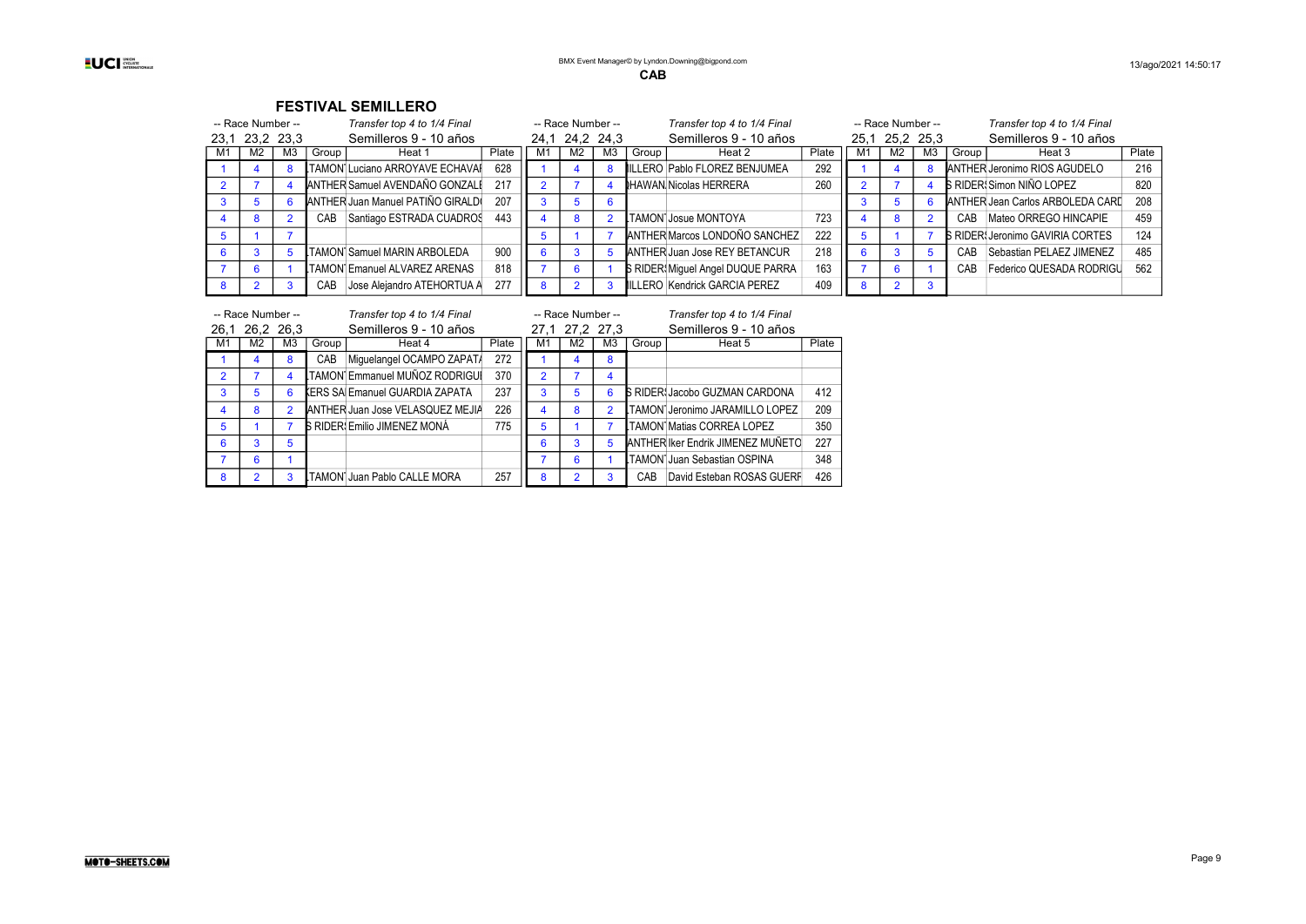|    | -- Race Number -- |                | Transfer top 4 to 1/4 Final       |       |    | -- Race Number -- |                |       | Transfer top 4 to 1/4 Final       |       |    | -- Race Number -- |    | Transfer top 4 to 1/4 Final             |       |
|----|-------------------|----------------|-----------------------------------|-------|----|-------------------|----------------|-------|-----------------------------------|-------|----|-------------------|----|-----------------------------------------|-------|
|    | 23,1 23,2 23,3    |                | Semilleros 9 - 10 años            |       |    | 24,1 24,2 24,3    |                |       | Semilleros 9 - 10 años            |       |    | 25,1 25,2 25,3    |    | Semilleros 9 - 10 años                  |       |
| M1 | M <sub>2</sub>    | M <sub>3</sub> | Group<br>Heat 1                   | Plate | M1 | M2                | M <sub>3</sub> | Group | Heat 2                            | Plate | M. | M <sub>2</sub>    | M3 | Group<br>Heat 3                         | Plate |
|    |                   |                | TAMON Luciano ARROYAVE ECHAVAI    | 628   |    |                   |                |       | ILLERO Pablo FLOREZ BENJUMEA      | 292   |    |                   |    | ANTHER Jeronimo RIOS AGUDELO            | 216   |
|    |                   |                | ANTHER Samuel AVENDAÑO GONZALI    | 217   |    |                   |                |       | HAWAN Nicolas HERRERA             | 260   |    |                   |    | <b>B RIDER: Simon NIÑO LOPEZ</b>        | 820   |
|    |                   |                | ANTHER Juan Manuel PATIÑO GIRALD  | 207   |    |                   |                |       |                                   |       |    |                   |    | ANTHER Jean Carlos ARBOLEDA CARD        | 208   |
|    |                   |                | Santiago ESTRADA CUADROS<br>CAB   | 443   |    | R.                |                |       | TAMON Josue MONTOYA               | 723   |    | 8                 |    | Mateo ORREGO HINCAPIE<br>CAB            | 459   |
|    |                   |                |                                   |       |    |                   |                |       | ANTHER Marcos LONDOÑO SANCHEZ     | 222   |    |                   |    | <b>B RIDER: Jeronimo GAVIRIA CORTES</b> | 124   |
|    |                   |                | TAMON Samuel MARIN ARBOLEDA       | 900   |    |                   |                |       | ANTHER Juan Jose REY BETANCUR     | 218   |    | 3                 |    | Sebastian PELAEZ JIMENEZ<br>CAR.        | 485   |
|    |                   |                | TAMON Emanuel ALVAREZ ARENAS      | 818   |    | 6                 |                |       | S RIDER! Miguel Angel DUQUE PARRA | 163   |    | 6                 |    | Federico QUESADA RODRIGU<br>CAR         | 562   |
|    |                   |                | Jose Aleiandro ATEHORTUA A<br>CAB | 277   |    |                   |                |       | ILLERO Kendrick GARCIA PEREZ      | 409   |    | $\overline{2}$    |    |                                         |       |

| -- Race Number -- |                |                |       | Transfer top 4 to 1/4 Final           |       | -- Race Number -- |                |                | Transfer top 4 to 1/4 Final |                                       |       |  |
|-------------------|----------------|----------------|-------|---------------------------------------|-------|-------------------|----------------|----------------|-----------------------------|---------------------------------------|-------|--|
|                   | 26,1 26,2 26,3 |                |       | Semilleros 9 - 10 años                |       |                   | 27.1 27.2 27.3 |                |                             | Semilleros 9 - 10 años                |       |  |
| M1                | M <sub>2</sub> | M <sub>3</sub> | Group | Heat 4                                | Plate | M1                | M <sub>2</sub> | M <sub>3</sub> | Group                       | Heat 5                                | Plate |  |
|                   | 4              | 8              | CAB   | Miquelangel OCAMPO ZAPAT/             | 272   |                   | 4              | 8              |                             |                                       |       |  |
| $\overline{2}$    |                | 4              |       | TAMON Emmanuel MUÑOZ RODRIGUI         | 370   | $\overline{2}$    |                | 4              |                             |                                       |       |  |
| 3                 | 5              | 6              |       | <b>KERS SA Emanuel GUARDIA ZAPATA</b> | 237   | 3                 | 5              | 6              |                             | <b>B RIDER: Jacobo GUZMAN CARDONA</b> | 412   |  |
| 4                 | 8              | $\mathfrak{p}$ |       | ANTHER Juan Jose VELASQUEZ MEJIA      | 226   | 4                 | 8              | $\overline{2}$ |                             | TAMON Jeronimo JARAMILLO LOPEZ        | 209   |  |
| 5                 |                |                |       | S RIDER: Emilio JIMENEZ MONÁ          | 775   | 5                 |                | 7              |                             | LTAMON Matias CORREA LOPEZ            | 350   |  |
| 6                 | 3              | 5              |       |                                       |       | 6                 | 3              | 5              |                             | ANTHER Iker Endrik JIMENEZ MUÑETO     | 227   |  |
|                   | 6              |                |       |                                       |       |                   | 6              |                |                             | LTAMON Juan Sebastian OSPINA          | 348   |  |
| 8                 | $\overline{2}$ | 3              |       | TAMON Juan Pablo CALLE MORA           | 257   | 8                 | $\mathfrak{p}$ | 3              | CA <sub>B</sub>             | David Esteban ROSAS GUERF             | 426   |  |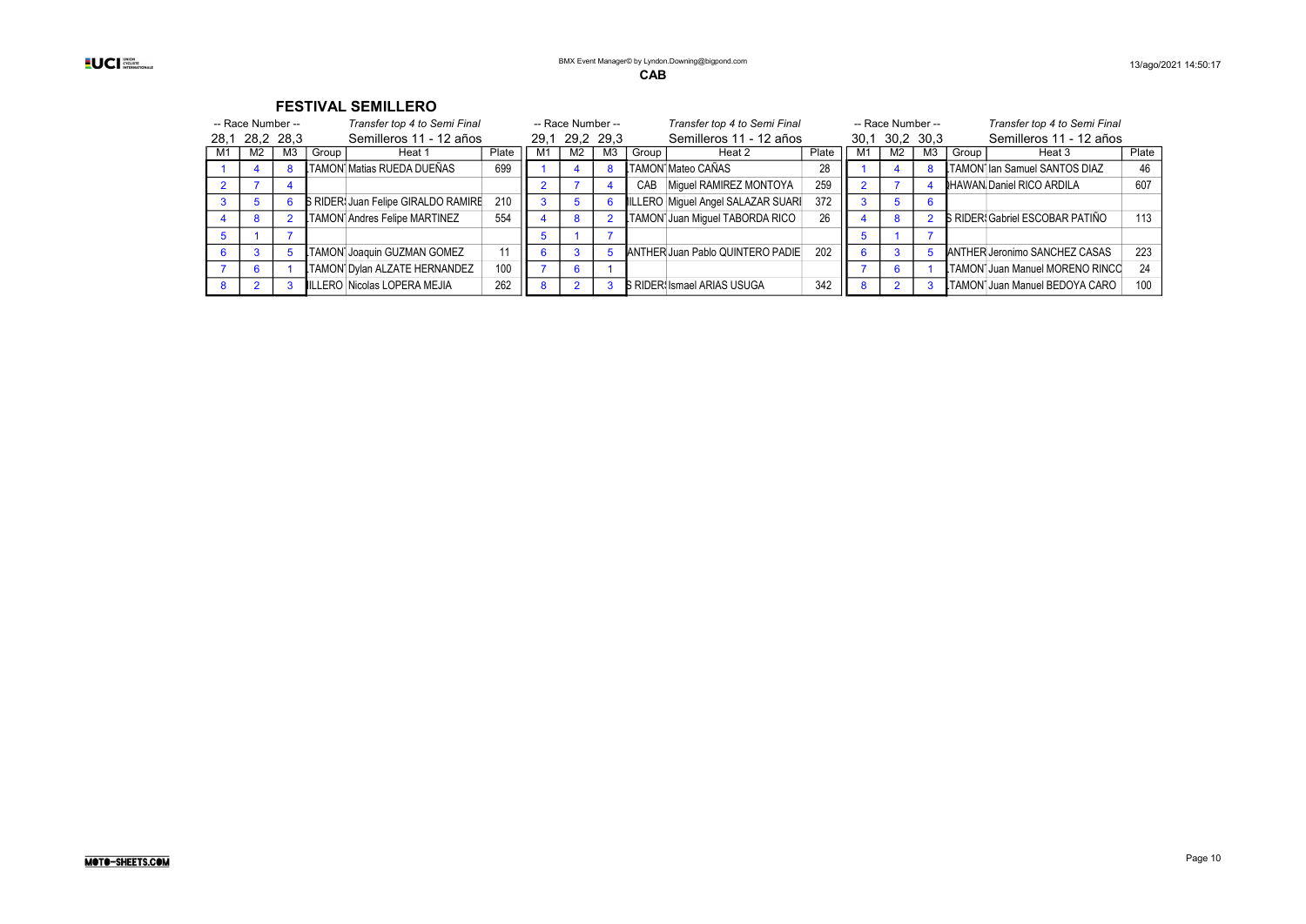| -- Race Number --                         |                | Transfer top 4 to Semi Final |       |                                            | -- Race Number --       |  |                | Transfer top 4 to Semi Final |       |                                   | -- Race Number --       |    |    | Transfer top 4 to Semi Final |       |                                        |       |
|-------------------------------------------|----------------|------------------------------|-------|--------------------------------------------|-------------------------|--|----------------|------------------------------|-------|-----------------------------------|-------------------------|----|----|------------------------------|-------|----------------------------------------|-------|
| Semilleros 11 - 12 años<br>28,1 28,2 28,3 |                | 29.1 29.2 29.3               |       |                                            | Semilleros 11 - 12 años |  |                | 30,1 30,2 30,3               |       |                                   | Semilleros 11 - 12 años |    |    |                              |       |                                        |       |
| M1                                        | M <sub>2</sub> | MЗ                           | Group | Heat 1                                     | Plate                   |  | M <sub>2</sub> | M <sub>3</sub>               | Group | Heat 2                            | Plate                   | M1 | M2 | MЗ                           | Group | Heat 3                                 | Plate |
|                                           |                |                              |       | LTAMON Matias RUEDA DUEÑAS                 | 699                     |  |                |                              |       | .TAMON Mateo CAÑAS                | 28                      |    |    |                              |       | TAMON lan Samuel SANTOS DIAZ           | 46    |
|                                           |                |                              |       |                                            |                         |  |                |                              | CAB   | Miquel RAMIREZ MONTOYA            | 259                     |    |    |                              |       | <b>HAWAN Daniel RICO ARDILA</b>        | 607   |
|                                           |                |                              |       | <b>S RIDER: Juan Felipe GIRALDO RAMIRE</b> | 210                     |  |                |                              |       | ILLERO Miguel Angel SALAZAR SUARI | 372                     |    |    |                              |       |                                        |       |
|                                           |                |                              |       | TAMON Andres Felipe MARTINEZ               | 554                     |  | 8              |                              |       | TAMON Juan Miquel TABORDA RICO    | 26                      |    |    |                              |       | <b>S RIDER: Gabriel ESCOBAR PATIÑO</b> | 113   |
|                                           |                |                              |       |                                            |                         |  |                |                              |       |                                   |                         |    |    |                              |       |                                        |       |
|                                           |                |                              |       | <b>TAMON Joaquin GUZMAN GOMEZ</b>          |                         |  |                |                              |       | ANTHER Juan Pablo QUINTERO PADIE  | 202                     |    |    |                              |       | ANTHER Jeronimo SANCHEZ CASAS          | 223   |
|                                           |                |                              |       | TAMON Dylan ALZATE HERNANDEZ               | 100                     |  |                |                              |       |                                   |                         |    |    |                              |       | LTAMON Juan Manuel MORENO RINCO        | -24   |
|                                           |                |                              |       | ILLERO Nicolas LOPERA MEJIA                | 262                     |  |                |                              |       | <b>B RIDER Ismael ARIAS USUGA</b> | 342                     |    |    |                              |       | LTAMON Juan Manuel BEDOYA CARO         | 100   |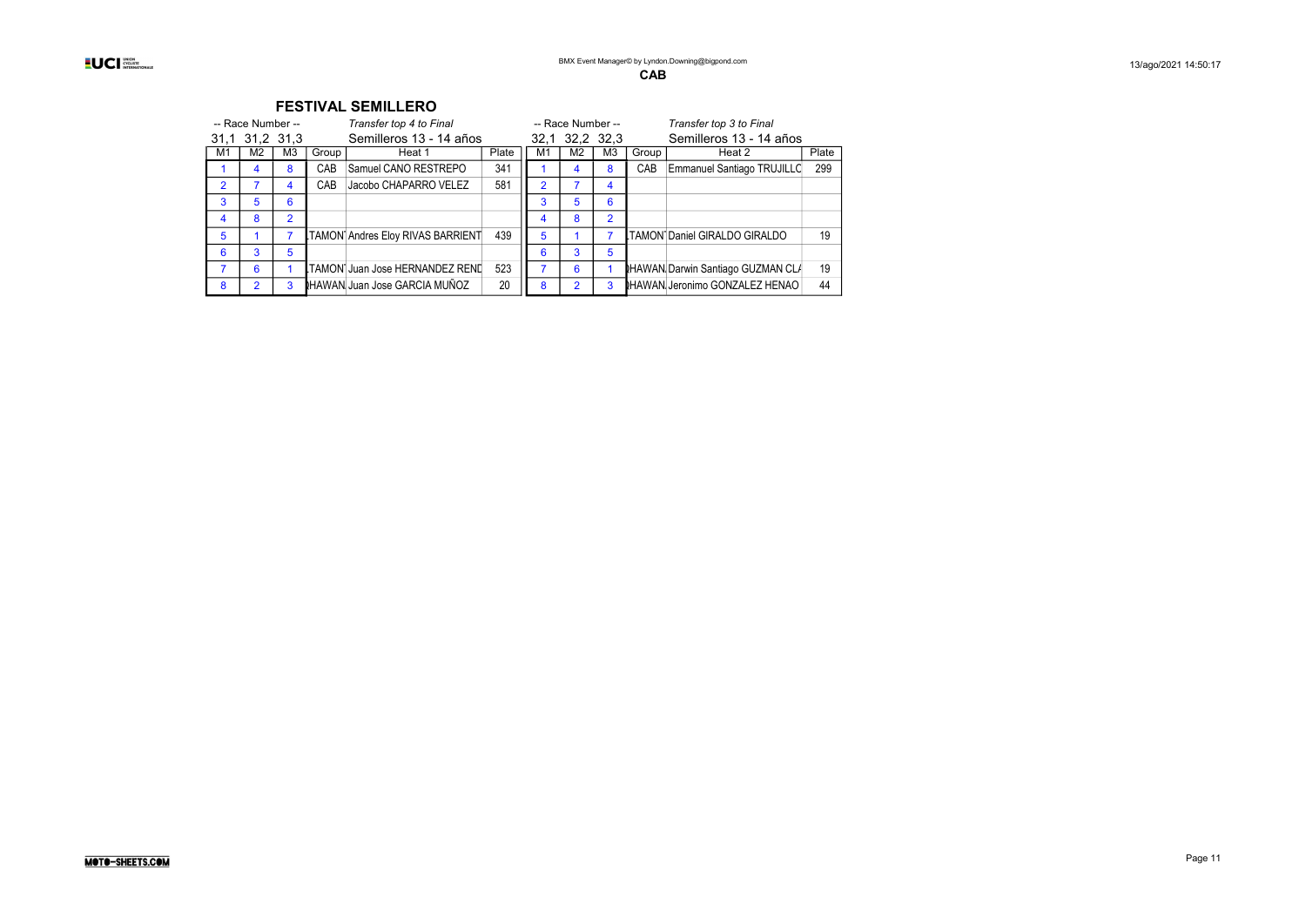| -- Race Number -- |                |    |       | Transfer top 4 to Final          |       | -- Race Number -- |                |                | Transfer top 3 to Final |                                          |       |
|-------------------|----------------|----|-------|----------------------------------|-------|-------------------|----------------|----------------|-------------------------|------------------------------------------|-------|
|                   | 31,1 31,2 31,3 |    |       | Semilleros 13 - 14 años          |       |                   |                | 32,1 32,2 32,3 | Semilleros 13 - 14 años |                                          |       |
| M1                | M2             | M3 | Group | Heat 1                           | Plate | M1                | M <sub>2</sub> | M <sub>3</sub> | Group                   | Heat 2                                   | Plate |
|                   | 4              | 8  | CAB   | Samuel CANO RESTREPO             | 341   |                   | 4              | 8              | CAB                     | Emmanuel Santiago TRUJILLC               | 299   |
| 2                 |                |    | CAB   | Jacobo CHAPARRO VELEZ            | 581   | $\overline{2}$    |                | 4              |                         |                                          |       |
| 3                 | 5              | 6  |       |                                  |       | 3                 | 5              | 6              |                         |                                          |       |
| 4                 | 8              | 2  |       |                                  |       |                   | 8              | $\mathfrak{p}$ |                         |                                          |       |
| 5                 |                |    |       | TAMON Andres Eloy RIVAS BARRIENT | 439   | 5                 |                |                |                         | TAMON Daniel GIRALDO GIRALDO             | 19    |
| 6                 | 3              | 5  |       |                                  |       | 6                 | 3              | 5              |                         |                                          |       |
|                   | 6              |    |       | TAMON Juan Jose HERNANDEZ RENL   | 523   |                   | 6              |                |                         | <b>RHAWAN Darwin Santiago GUZMAN CLA</b> | 19    |
| 8                 |                | 3  |       | HAWAN Juan Jose GARCIA MUÑOZ     | 20    | 8                 |                | 3              |                         | <b>NHAWAN Jeronimo GONZALEZ HENAO</b>    | 44    |
|                   |                |    |       |                                  |       |                   |                |                |                         |                                          |       |